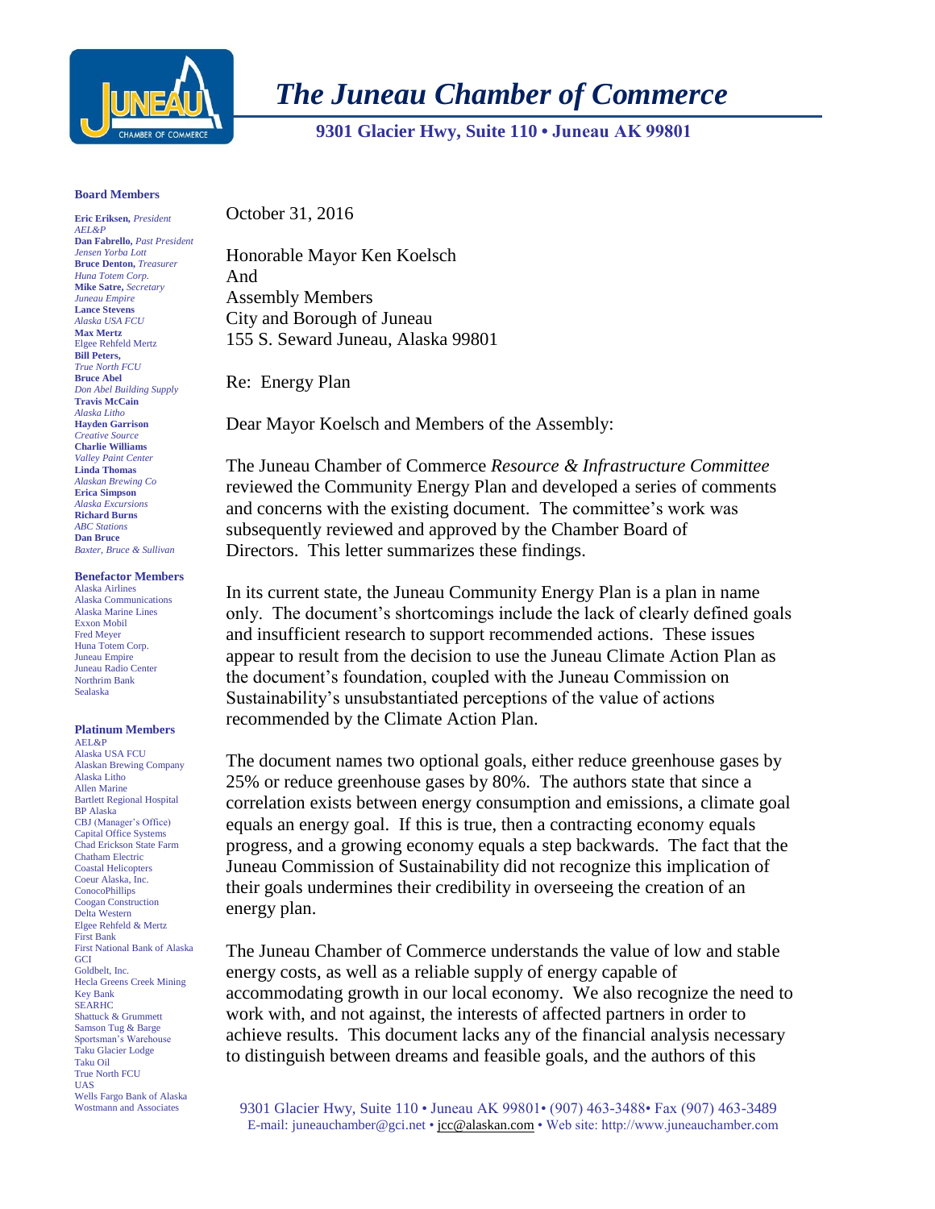

*The Juneau Chamber of Commerce*

 **9301 Glacier Hwy, Suite 110 • Juneau AK 99801** 

## **Board Members**

**Eric Eriksen,** *President AEL&P* **Dan Fabrello,** *Past President Jensen Yorba Lott* **Bruce Denton,** *Treasurer Huna Totem Corp.* **Mike Satre,** *Secretary Juneau Empire* **Lance Stevens** *Alaska USA FCU* **Max Mertz**  Elgee Rehfeld Mertz **Bill Peters,** *True North FCU* **Bruce Abel** *Don Abel Building Supply* **Travis McCain** *Alaska Litho* **Hayden Garrison** *Creative Source* **Charlie Williams** *Valley Paint Center* **Linda Thomas** *Alaskan Brewing Co* **Erica Simpson** *Alaska Excursions* **Richard Burns** *ABC Stations* **Dan Bruce** *Baxter, Bruce & Sullivan*

## **Benefactor Members**

Alaska Airlines Alaska Communications Alaska Marine Lines Exxon Mobil Fred Meyer Huna Totem Corp. Juneau Empire Juneau Radio Center Northrim Bank Sealaska

## **Platinum Members** AEL&P

Alaska USA FCU Alaskan Brewing Company Alaska Litho Allen Marine Bartlett Regional Hospital BP Alaska CBJ (Manager's Office) Capital Office Systems Chad Erickson State Farm Chatham Electric Coastal Helicopters Coeur Alaska, Inc. **ConocoPhillips** Coogan Construction Delta Western Elgee Rehfeld & Mertz First Bank First National Bank of Alaska **GCI** Goldbelt, Inc. Hecla Greens Creek Mining Key Bank **SEARHC** Shattuck & Grummett Samson Tug & Barge Sportsman's Warehouse Taku Glacier Lodge Taku Oil True North FCU UAS Wells Fargo Bank of Alaska Wostmann and Associates

October 31, 2016

Honorable Mayor Ken Koelsch And Assembly Members City and Borough of Juneau 155 S. Seward Juneau, Alaska 99801

Re: Energy Plan

Dear Mayor Koelsch and Members of the Assembly:

The Juneau Chamber of Commerce *Resource & Infrastructure Committee*  reviewed the Community Energy Plan and developed a series of comments and concerns with the existing document. The committee's work was subsequently reviewed and approved by the Chamber Board of Directors. This letter summarizes these findings.

In its current state, the Juneau Community Energy Plan is a plan in name only. The document's shortcomings include the lack of clearly defined goals and insufficient research to support recommended actions. These issues appear to result from the decision to use the Juneau Climate Action Plan as the document's foundation, coupled with the Juneau Commission on Sustainability's unsubstantiated perceptions of the value of actions recommended by the Climate Action Plan.

The document names two optional goals, either reduce greenhouse gases by 25% or reduce greenhouse gases by 80%. The authors state that since a correlation exists between energy consumption and emissions, a climate goal equals an energy goal. If this is true, then a contracting economy equals progress, and a growing economy equals a step backwards. The fact that the Juneau Commission of Sustainability did not recognize this implication of their goals undermines their credibility in overseeing the creation of an energy plan.

The Juneau Chamber of Commerce understands the value of low and stable energy costs, as well as a reliable supply of energy capable of accommodating growth in our local economy. We also recognize the need to work with, and not against, the interests of affected partners in order to achieve results. This document lacks any of the financial analysis necessary to distinguish between dreams and feasible goals, and the authors of this

9301 Glacier Hwy, Suite 110 • Juneau AK 99801• (907) 463-3488• Fax (907) 463-3489 E-mail: [juneauchamber@gci.net](mailto:juneauchamber@gci.net) [• jcc@alaskan.com](mailto:jcc@alaskan.com) • Web site: http://www.juneauchamber.com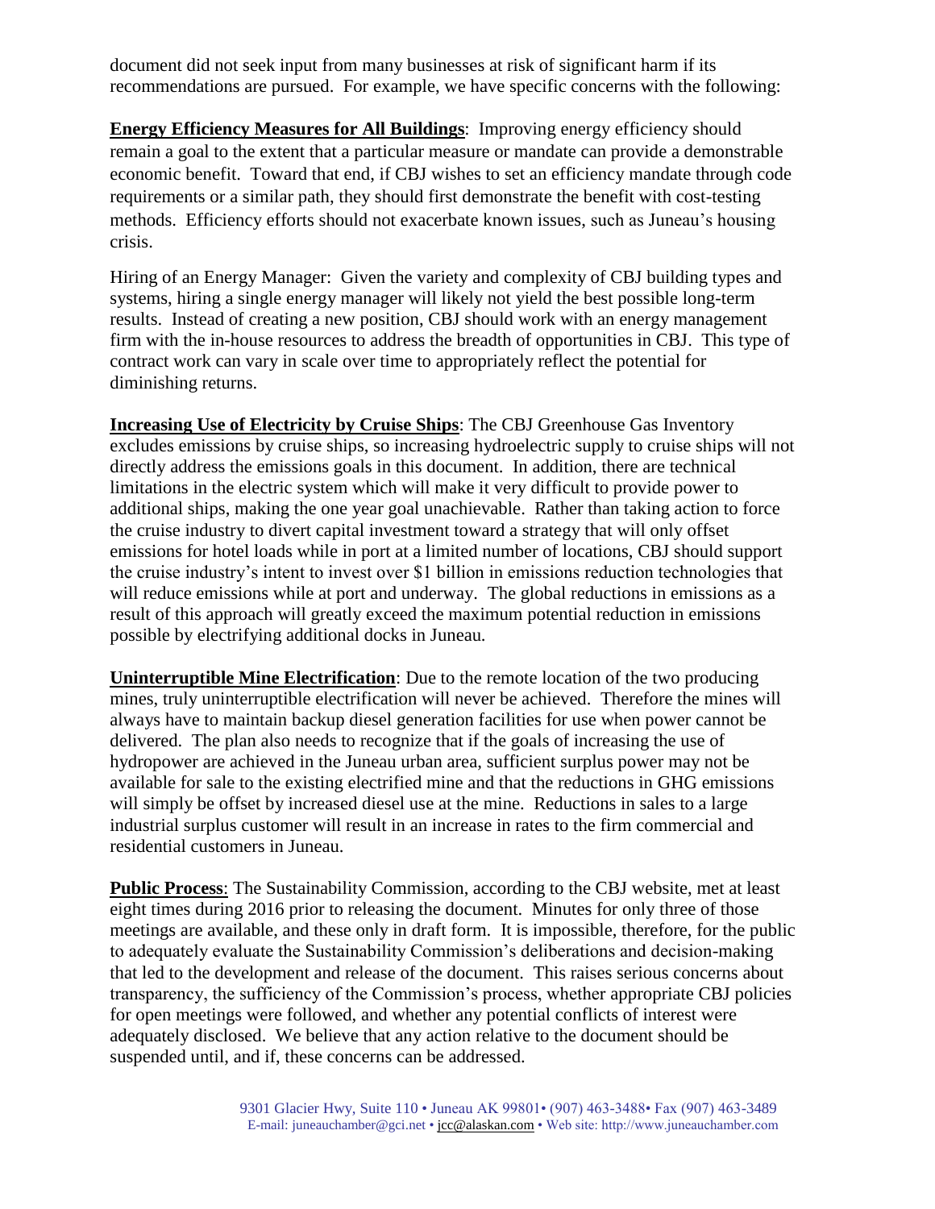document did not seek input from many businesses at risk of significant harm if its recommendations are pursued. For example, we have specific concerns with the following:

**Energy Efficiency Measures for All Buildings**: Improving energy efficiency should remain a goal to the extent that a particular measure or mandate can provide a demonstrable economic benefit. Toward that end, if CBJ wishes to set an efficiency mandate through code requirements or a similar path, they should first demonstrate the benefit with cost-testing methods. Efficiency efforts should not exacerbate known issues, such as Juneau's housing crisis.

Hiring of an Energy Manager: Given the variety and complexity of CBJ building types and systems, hiring a single energy manager will likely not yield the best possible long-term results. Instead of creating a new position, CBJ should work with an energy management firm with the in-house resources to address the breadth of opportunities in CBJ. This type of contract work can vary in scale over time to appropriately reflect the potential for diminishing returns.

**Increasing Use of Electricity by Cruise Ships**: The CBJ Greenhouse Gas Inventory excludes emissions by cruise ships, so increasing hydroelectric supply to cruise ships will not directly address the emissions goals in this document. In addition, there are technical limitations in the electric system which will make it very difficult to provide power to additional ships, making the one year goal unachievable. Rather than taking action to force the cruise industry to divert capital investment toward a strategy that will only offset emissions for hotel loads while in port at a limited number of locations, CBJ should support the cruise industry's intent to invest over \$1 billion in emissions reduction technologies that will reduce emissions while at port and underway. The global reductions in emissions as a result of this approach will greatly exceed the maximum potential reduction in emissions possible by electrifying additional docks in Juneau.

**Uninterruptible Mine Electrification**: Due to the remote location of the two producing mines, truly uninterruptible electrification will never be achieved. Therefore the mines will always have to maintain backup diesel generation facilities for use when power cannot be delivered. The plan also needs to recognize that if the goals of increasing the use of hydropower are achieved in the Juneau urban area, sufficient surplus power may not be available for sale to the existing electrified mine and that the reductions in GHG emissions will simply be offset by increased diesel use at the mine. Reductions in sales to a large industrial surplus customer will result in an increase in rates to the firm commercial and residential customers in Juneau.

**Public Process**: The Sustainability Commission, according to the CBJ website, met at least eight times during 2016 prior to releasing the document. Minutes for only three of those meetings are available, and these only in draft form. It is impossible, therefore, for the public to adequately evaluate the Sustainability Commission's deliberations and decision-making that led to the development and release of the document. This raises serious concerns about transparency, the sufficiency of the Commission's process, whether appropriate CBJ policies for open meetings were followed, and whether any potential conflicts of interest were adequately disclosed. We believe that any action relative to the document should be suspended until, and if, these concerns can be addressed.